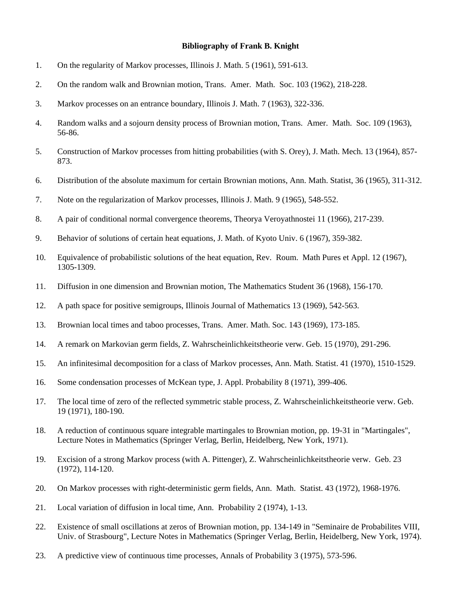## **Bibliography of Frank B. Knight**

- 1. On the regularity of Markov processes, Illinois J. Math. 5 (1961), 591-613.
- 2. On the random walk and Brownian motion, Trans. Amer. Math. Soc. 103 (1962), 218-228.
- 3. Markov processes on an entrance boundary, Illinois J. Math. 7 (1963), 322-336.
- 4. Random walks and a sojourn density process of Brownian motion, Trans. Amer. Math. Soc. 109 (1963), 56-86.
- 5. Construction of Markov processes from hitting probabilities (with S. Orey), J. Math. Mech. 13 (1964), 857- 873.
- 6. Distribution of the absolute maximum for certain Brownian motions, Ann. Math. Statist, 36 (1965), 311-312.
- 7. Note on the regularization of Markov processes, Illinois J. Math. 9 (1965), 548-552.
- 8. A pair of conditional normal convergence theorems, Theorya Veroyathnostei 11 (1966), 217-239.
- 9. Behavior of solutions of certain heat equations, J. Math. of Kyoto Univ. 6 (1967), 359-382.
- 10. Equivalence of probabilistic solutions of the heat equation, Rev. Roum. Math Pures et Appl. 12 (1967), 1305-1309.
- 11. Diffusion in one dimension and Brownian motion, The Mathematics Student 36 (1968), 156-170.
- 12. A path space for positive semigroups, Illinois Journal of Mathematics 13 (1969), 542-563.
- 13. Brownian local times and taboo processes, Trans. Amer. Math. Soc. 143 (1969), 173-185.
- 14. A remark on Markovian germ fields, Z. Wahrscheinlichkeitstheorie verw. Geb. 15 (1970), 291-296.
- 15. An infinitesimal decomposition for a class of Markov processes, Ann. Math. Statist. 41 (1970), 1510-1529.
- 16. Some condensation processes of McKean type, J. Appl. Probability 8 (1971), 399-406.
- 17. The local time of zero of the reflected symmetric stable process, Z. Wahrscheinlichkeitstheorie verw. Geb. 19 (1971), 180-190.
- 18. A reduction of continuous square integrable martingales to Brownian motion, pp. 19-31 in "Martingales", Lecture Notes in Mathematics (Springer Verlag, Berlin, Heidelberg, New York, 1971).
- 19. Excision of a strong Markov process (with A. Pittenger), Z. Wahrscheinlichkeitstheorie verw. Geb. 23 (1972), 114-120.
- 20. On Markov processes with right-deterministic germ fields, Ann. Math. Statist. 43 (1972), 1968-1976.
- 21. Local variation of diffusion in local time, Ann. Probability 2 (1974), 1-13.
- 22. Existence of small oscillations at zeros of Brownian motion, pp. 134-149 in "Seminaire de Probabilites VIII, Univ. of Strasbourg", Lecture Notes in Mathematics (Springer Verlag, Berlin, Heidelberg, New York, 1974).
- 23. A predictive view of continuous time processes, Annals of Probability 3 (1975), 573-596.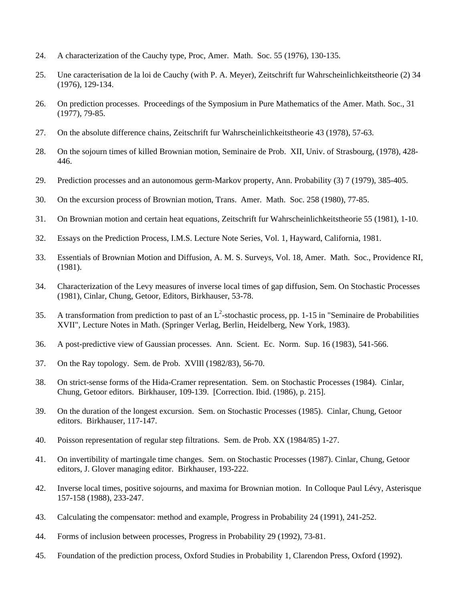- 24. A characterization of the Cauchy type, Proc, Amer. Math. Soc. 55 (1976), 130-135.
- 25. Une caracterisation de la loi de Cauchy (with P. A. Meyer), Zeitschrift fur Wahrscheinlichkeitstheorie (2) 34 (1976), 129-134.
- 26. On prediction processes. Proceedings of the Symposium in Pure Mathematics of the Amer. Math. Soc., 31 (1977), 79-85.
- 27. On the absolute difference chains, Zeitschrift fur Wahrscheinlichkeitstheorie 43 (1978), 57-63.
- 28. On the sojourn times of killed Brownian motion, Seminaire de Prob. XII, Univ. of Strasbourg, (1978), 428- 446.
- 29. Prediction processes and an autonomous germ-Markov property, Ann. Probability (3) 7 (1979), 385-405.
- 30. On the excursion process of Brownian motion, Trans. Amer. Math. Soc. 258 (1980), 77-85.
- 31. On Brownian motion and certain heat equations, Zeitschrift fur Wahrscheinlichkeitstheorie 55 (1981), 1-10.
- 32. Essays on the Prediction Process, I.M.S. Lecture Note Series, Vol. 1, Hayward, California, 1981.
- 33. Essentials of Brownian Motion and Diffusion, A. M. S. Surveys, Vol. 18, Amer. Math. Soc., Providence RI, (1981).
- 34. Characterization of the Levy measures of inverse local times of gap diffusion, Sem. On Stochastic Processes (1981), Cinlar, Chung, Getoor, Editors, Birkhauser, 53-78.
- 35. A transformation from prediction to past of an  $L^2$ -stochastic process, pp. 1-15 in "Seminaire de Probabilities XVII", Lecture Notes in Math. (Springer Verlag, Berlin, Heidelberg, New York, 1983).
- 36. A post-predictive view of Gaussian processes. Ann. Scient. Ec. Norm. Sup. 16 (1983), 541-566.
- 37. On the Ray topology. Sem. de Prob. XVlIl (1982/83), 56-70.
- 38. On strict-sense forms of the Hida-Cramer representation. Sem. on Stochastic Processes (1984). Cinlar, Chung, Getoor editors. Birkhauser, 109-139. [Correction. Ibid. (1986), p. 215].
- 39. On the duration of the longest excursion. Sem. on Stochastic Processes (1985). Cinlar, Chung, Getoor editors. Birkhauser, 117-147.
- 40. Poisson representation of regular step filtrations. Sem. de Prob. XX (1984/85) 1-27.
- 41. On invertibility of martingale time changes. Sem. on Stochastic Processes (1987). Cinlar, Chung, Getoor editors, J. Glover managing editor. Birkhauser, 193-222.
- 42. Inverse local times, positive sojourns, and maxima for Brownian motion. In Colloque Paul Lévy, Asterisque 157-158 (1988), 233-247.
- 43. Calculating the compensator: method and example, Progress in Probability 24 (1991), 241-252.
- 44. Forms of inclusion between processes, Progress in Probability 29 (1992), 73-81.
- 45. Foundation of the prediction process, Oxford Studies in Probability 1, Clarendon Press, Oxford (1992).